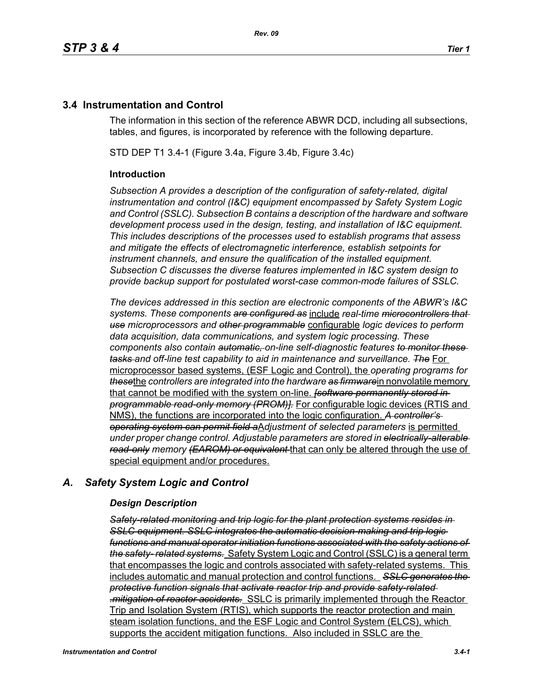## **3.4 Instrumentation and Control**

The information in this section of the reference ABWR DCD, including all subsections, tables, and figures, is incorporated by reference with the following departure.

STD DEP T1 3.4-1 (Figure 3.4a, Figure 3.4b, Figure 3.4c)

### **Introduction**

*Subsection A provides a description of the configuration of safety-related, digital instrumentation and control (I&C) equipment encompassed by Safety System Logic and Control (SSLC). Subsection B contains a description of the hardware and software development process used in the design, testing, and installation of I&C equipment. This includes descriptions of the processes used to establish programs that assess and mitigate the effects of electromagnetic interference, establish setpoints for instrument channels, and ensure the qualification of the installed equipment. Subsection C discusses the diverse features implemented in I&C system design to provide backup support for postulated worst-case common-mode failures of SSLC.*

*The devices addressed in this section are electronic components of the ABWR's I&C systems. These components are configured as* include *real-time microcontrollers that use microprocessors and other programmable* configurable *logic devices to perform data acquisition, data communications, and system logic processing. These components also contain automatic, on-line self-diagnostic features to monitor these tasks and off-line test capability to aid in maintenance and surveillance. The* For microprocessor based systems, (ESF Logic and Control), the *operating programs for these*the *controllers are integrated into the hardware as firmware*in nonvolatile memory that cannot be modified with the system on-line. *[software permanently stored in programmable read-only memory (PROM)].* For configurable logic devices (RTIS and NMS), the functions are incorporated into the logic configuration. *A controller's operating system can permit field a*A*djustment of selected parameters* is permitted *under proper change control. Adjustable parameters are stored in electrically-alterable read-only memory (EAROM) or equivalent* that can only be altered through the use of special equipment and/or procedures.

## *A. Safety System Logic and Control*

#### *Design Description*

*Safety-related monitoring and trip logic for the plant protection systems resides in SSLC equipment. SSLC integrates the automatic decision-making and trip logic functions and manual operator initiation functions associated with the safety actions of the safety- related systems.* Safety System Logic and Control (SSLC) is a general term that encompasses the logic and controls associated with safety-related systems. This includes automatic and manual protection and control functions. *SSLC generates the protective function signals that activate reactor trip and provide safety-related .mitigation of reactor accidents.* SSLC is primarily implemented through the Reactor Trip and Isolation System (RTIS), which supports the reactor protection and main steam isolation functions, and the ESF Logic and Control System (ELCS), which supports the accident mitigation functions. Also included in SSLC are the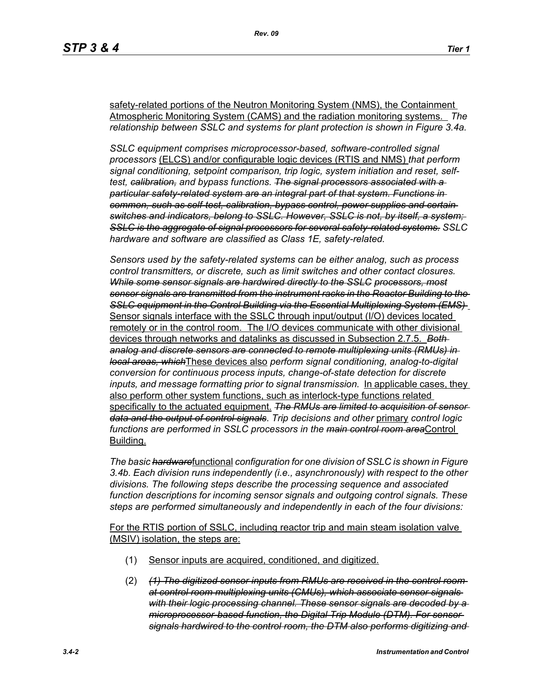safety-related portions of the Neutron Monitoring System (NMS), the Containment Atmospheric Monitoring System (CAMS) and the radiation monitoring systems. *The relationship between SSLC and systems for plant protection is shown in Figure 3.4a.*

*SSLC equipment comprises microprocessor-based, software-controlled signal processors* (ELCS) and/or configurable logic devices (RTIS and NMS) *that perform signal conditioning, setpoint comparison, trip logic, system initiation and reset, selftest, calibration, and bypass functions. The signal processors associated with a particular safety-related system are an integral part of that system. Functions in common, such as self-test, calibration, bypass control, power supplies and certain switches and indicators, belong to SSLC. However, SSLC is not, by itself, a system; SSLC is the aggregate of signal processors for several safety-related systems. SSLC hardware and software are classified as Class 1E, safety-related.*

*Sensors used by the safety-related systems can be either analog, such as process control transmitters, or discrete, such as limit switches and other contact closures. While some sensor signals are hardwired directly to the SSLC processors, most sensor signals are transmitted from the instrument racks in the Reactor Building to the SSLC equipment in the Control Building via the Essential Multiplexing System (EMS)*  Sensor signals interface with the SSLC through input/output (I/O) devices located remotely or in the control room. The I/O devices communicate with other divisional devices through networks and datalinks as discussed in Subsection 2.7.5. *Both analog and discrete sensors are connected to remote multiplexing units (RMUs) in local areas, which*These devices also *perform signal conditioning, analog-to-digital conversion for continuous process inputs, change-of-state detection for discrete inputs, and message formatting prior to signal transmission.* In applicable cases, they also perform other system functions, such as interlock-type functions related specifically to the actuated equipment. *The RMUs are limited to acquisition of sensor data and the output of control signals*. *Trip decisions and other* primary *control logic functions are performed in SSLC processors in the main control room area*Control Building.

*The basic hardware*functional *configuration for one division of SSLC is shown in Figure 3.4b. Each division runs independently (i.e., asynchronously) with respect to the other divisions. The following steps describe the processing sequence and associated function descriptions for incoming sensor signals and outgoing control signals. These steps are performed simultaneously and independently in each of the four divisions:*

For the RTIS portion of SSLC, including reactor trip and main steam isolation valve (MSIV) isolation, the steps are:

- (1) Sensor inputs are acquired, conditioned, and digitized.
- (2) *(1) The digitized sensor inputs from RMUs are received in the control room at control room multiplexing units (CMUs), which associate sensor signals with their logic processing channel. These sensor signals are decoded by a microprocessor-based function, the Digital Trip Module (DTM). For sensor signals hardwired to the control room, the DTM also performs digitizing and*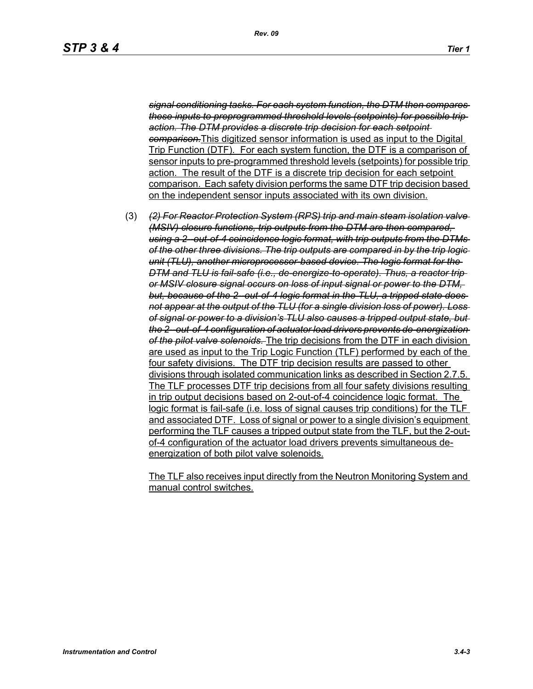*signal conditioning tasks. For each system function, the DTM then compares these inputs to preprogrammed threshold levels (setpoints) for possible trip action. The DTM provides a discrete trip decision for each setpoint comparison.*This digitized sensor information is used as input to the Digital Trip Function (DTF). For each system function, the DTF is a comparison of sensor inputs to pre-programmed threshold levels (setpoints) for possible trip action. The result of the DTF is a discrete trip decision for each setpoint comparison. Each safety division performs the same DTF trip decision based on the independent sensor inputs associated with its own division.

(3) *(2) For Reactor Protection System (RPS) trip and main steam isolation valve (MSIV) closure functions, trip outputs from the DTM are then compared, using a 2--out-of-4 coincidence logic format, with trip outputs from the DTMs of the other three divisions. The trip outputs are compared in by the trip logic unit (TLU), another microprocessor-based device. The logic format for the DTM and TLU is fail-safe (i.e., de-energize-to-operate). Thus, a reactor trip or MSIV closure signal occurs on loss of input signal or power to the DTM,*  but, because of the 2-out-of-4 logic format in the TLU, a tripped state does*not appear at the output of the TLU (for a single division loss of power). Loss of signal or power to a division's TLU also causes a tripped output state, but the 2--out-of-4 configuration of actuator load drivers prevents de-energization of the pilot valve solenoids.* The trip decisions from the DTF in each division are used as input to the Trip Logic Function (TLF) performed by each of the four safety divisions. The DTF trip decision results are passed to other divisions through isolated communication links as described in Section 2.7.5. The TLF processes DTF trip decisions from all four safety divisions resulting in trip output decisions based on 2-out-of-4 coincidence logic format. The logic format is fail-safe (i.e. loss of signal causes trip conditions) for the TLF and associated DTF. Loss of signal or power to a single division's equipment performing the TLF causes a tripped output state from the TLF, but the 2-outof-4 configuration of the actuator load drivers prevents simultaneous deenergization of both pilot valve solenoids.

The TLF also receives input directly from the Neutron Monitoring System and manual control switches.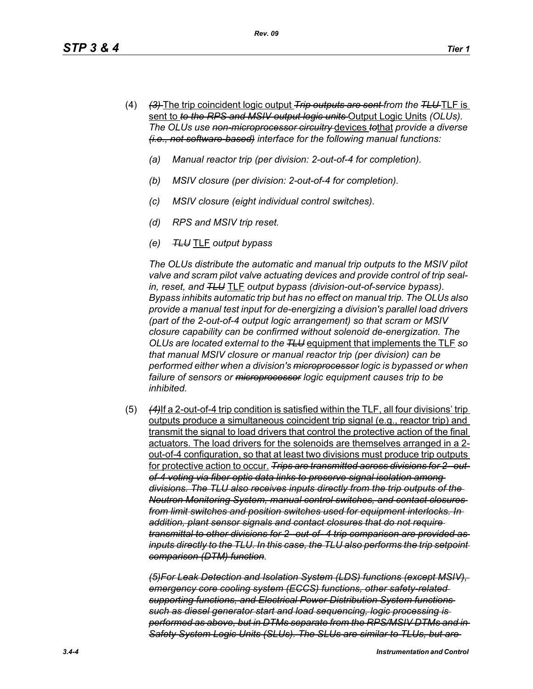- (4) *(3)* The trip coincident logic output *Trip outputs are sent from the TLU* TLF is sent to *to the RPS and MSIV output logic units* Output Logic Units *(OLUs). The OLUs use non-microprocessor circuitry* devices *to*that *provide a diverse (i.e., not software-based) interface for the following manual functions:*
	- *(a) Manual reactor trip (per division: 2-out-of-4 for completion).*
	- *(b) MSIV closure (per division: 2-out-of-4 for completion).*
	- *(c) MSIV closure (eight individual control switches).*
	- *(d) RPS and MSIV trip reset.*
	- *(e) TLU* TLF *output bypass*

*The OLUs distribute the automatic and manual trip outputs to the MSIV pilot valve and scram pilot valve actuating devices and provide control of trip sealin, reset, and TLU* TLF *output bypass (division-out-of-service bypass). Bypass inhibits automatic trip but has no effect on manual trip. The OLUs also provide a manual test input for de-energizing a division's parallel load drivers (part of the 2-out-of-4 output logic arrangement) so that scram or MSIV closure capability can be confirmed without solenoid de-energization. The OLUs are located external to the TLU* equipment that implements the TLF *so that manual MSIV closure or manual reactor trip (per division) can be performed either when a division's microprocessor logic is bypassed or when failure of sensors or microprocessor logic equipment causes trip to be inhibited.*

(5) *(4)*If a 2-out-of-4 trip condition is satisfied within the TLF, all four divisions' trip outputs produce a simultaneous coincident trip signal (e.g., reactor trip) and transmit the signal to load drivers that control the protective action of the final actuators. The load drivers for the solenoids are themselves arranged in a 2 out-of-4 configuration, so that at least two divisions must produce trip outputs for protective action to occur. *Trips are transmitted across divisions for 2--outof-4 voting via fiber optic data links to preserve signal isolation among divisions. The TLU also receives inputs directly from the trip outputs of the Neutron Monitoring System, manual control switches, and contact closures from limit switches and position switches used for equipment interlocks. In addition, plant sensor signals and contact closures that do not require transmittal to other divisions for 2--out-of- 4 trip comparison are provided as inputs directly to the TLU. In this case, the TLU also performs the trip setpoint comparison (DTM) function.*

*(5)For Leak Detection and Isolation System (LDS) functions (except MSIV), emergency core cooling system (ECCS) functions, other safety-related supporting functions, and Electrical Power Distribution System functions such as diesel generator start and load sequencing, logic processing is performed as above, but in DTMs separate from the RPS/MSIV DTMs and in Safety System Logic Units (SLUs). The SLUs are similar to TLUs, but are*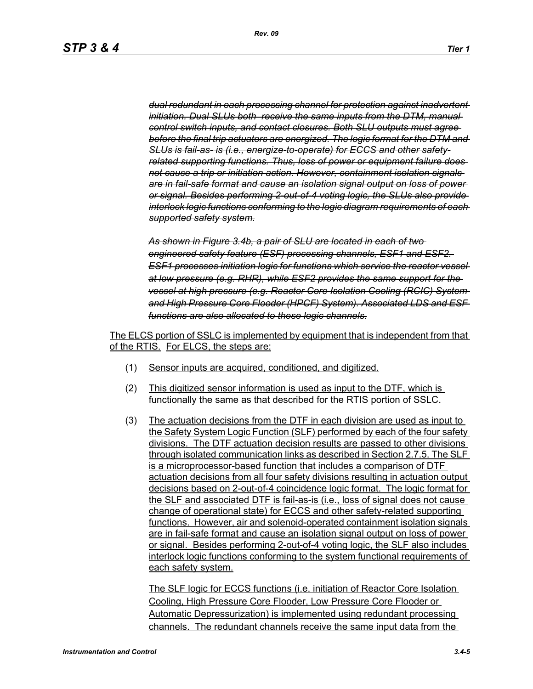*dual redundant in each processing channel for protection against inadvertent initiation. Dual SLUs both receive the same inputs from the DTM, manual control switch inputs, and contact closures. Both SLU outputs must agree before the final trip actuators are energized. The logic format for the DTM and SLUs is fail-as- is (i.e., energize-to-operate) for ECCS and other safetyrelated supporting functions. Thus, loss of power or equipment failure does not cause a trip or initiation action. However, containment isolation signals are in fail-safe format and cause an isolation signal output on loss of power or signal. Besides performing 2-out-of-4 voting logic, the SLUs also provide interlock logic functions conforming to the logic diagram requirements of each supported safety system.*

*As shown in Figure 3.4b, a pair of SLU are located in each of two engineered safety feature (ESF) processing channels, ESF1 and ESF2. ESF1 processes initiation logic for functions which service the reactor vessel at low pressure (e.g. RHR), while ESF2 provides the same support for the vessel at high pressure (e.g. Reactor Core Isolation Cooling (RCIC) System and High Pressure Core Flooder (HPCF) System). Associated LDS and ESF functions are also allocated to these logic channels.*

The ELCS portion of SSLC is implemented by equipment that is independent from that of the RTIS. For ELCS, the steps are:

- (1) Sensor inputs are acquired, conditioned, and digitized.
- (2) This digitized sensor information is used as input to the DTF, which is functionally the same as that described for the RTIS portion of SSLC.
- (3) The actuation decisions from the DTF in each division are used as input to the Safety System Logic Function (SLF) performed by each of the four safety divisions. The DTF actuation decision results are passed to other divisions through isolated communication links as described in Section 2.7.5. The SLF is a microprocessor-based function that includes a comparison of DTF actuation decisions from all four safety divisions resulting in actuation output decisions based on 2-out-of-4 coincidence logic format. The logic format for the SLF and associated DTF is fail-as-is (i.e., loss of signal does not cause change of operational state) for ECCS and other safety-related supporting functions. However, air and solenoid-operated containment isolation signals are in fail-safe format and cause an isolation signal output on loss of power or signal. Besides performing 2-out-of-4 voting logic, the SLF also includes interlock logic functions conforming to the system functional requirements of each safety system.

The SLF logic for ECCS functions (i.e. initiation of Reactor Core Isolation Cooling, High Pressure Core Flooder, Low Pressure Core Flooder or Automatic Depressurization) is implemented using redundant processing channels. The redundant channels receive the same input data from the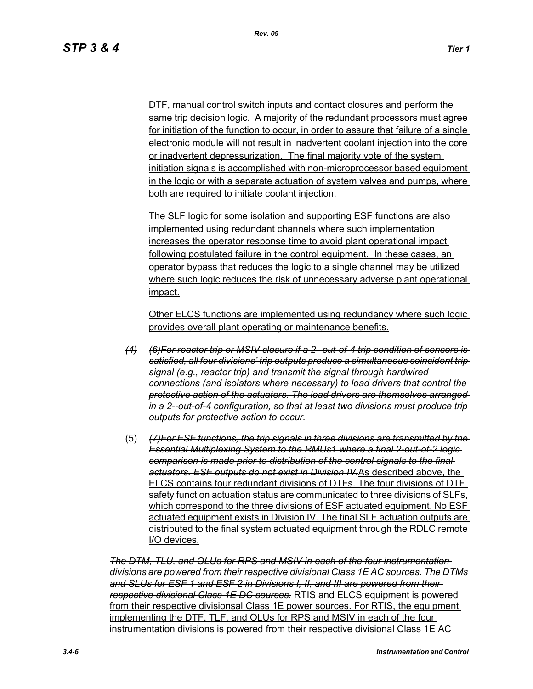DTF, manual control switch inputs and contact closures and perform the same trip decision logic. A majority of the redundant processors must agree for initiation of the function to occur, in order to assure that failure of a single electronic module will not result in inadvertent coolant injection into the core or inadvertent depressurization. The final majority vote of the system initiation signals is accomplished with non-microprocessor based equipment in the logic or with a separate actuation of system valves and pumps, where both are required to initiate coolant injection.

The SLF logic for some isolation and supporting ESF functions are also implemented using redundant channels where such implementation increases the operator response time to avoid plant operational impact following postulated failure in the control equipment. In these cases, an operator bypass that reduces the logic to a single channel may be utilized where such logic reduces the risk of unnecessary adverse plant operational impact.

Other ELCS functions are implemented using redundancy where such logic provides overall plant operating or maintenance benefits.

- *(4) (6)For reactor trip or MSIV closure if a 2--out-of-4 trip condition of sensors is satisfied, all four divisions' trip outputs produce a simultaneous coincident trip signal (e.g., reactor trip) and transmit the signal through hardwired connections (and isolators where necessary) to load drivers that control the protective action of the actuators. The load drivers are themselves arranged in a 2--out-of-4 configuration, so that at least two divisions must produce trip outputs for protective action to occur.*
- (5) *(7)For ESF functions, the trip signals in three divisions are transmitted by the Essential Multiplexing System to the RMUs1 where a final 2-out-of-2 logic comparison is made prior to distribution of the control signals to the final actuators. ESF outputs do not exist in Division IV.*As described above, the ELCS contains four redundant divisions of DTFs. The four divisions of DTF safety function actuation status are communicated to three divisions of SLFs, which correspond to the three divisions of ESF actuated equipment. No ESF actuated equipment exists in Division IV. The final SLF actuation outputs are distributed to the final system actuated equipment through the RDLC remote I/O devices.

*The DTM, TLU, and OLUs for RPS and MSIV in each of the four instrumentation divisions are powered from their respective divisional Class 1E AC sources. The DTMs and SLUs for ESF 1 and ESF 2 in Divisions I, II, and III are powered from their respective divisional Class 1E DC sources.* RTIS and ELCS equipment is powered from their respective divisionsal Class 1E power sources. For RTIS, the equipment implementing the DTF, TLF, and OLUs for RPS and MSIV in each of the four instrumentation divisions is powered from their respective divisional Class 1E AC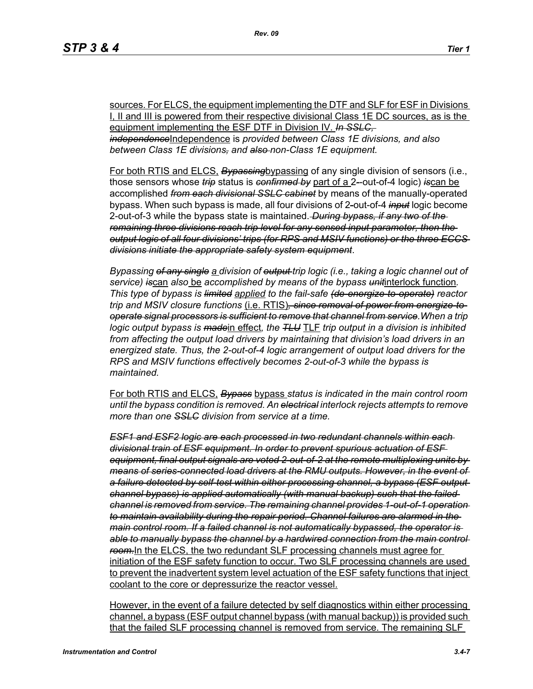sources. For ELCS, the equipment implementing the DTF and SLF for ESF in Divisions I, II and III is powered from their respective divisional Class 1E DC sources, as is the equipment implementing the ESF DTF in Division IV. *In SSLC, independence*Independence is *provided between Class 1E divisions, and also between Class 1E divisions, and also non-Class 1E equipment.*

For both RTIS and ELCS, *Bypassing*bypassing of any single division of sensors (i.e., those sensors whose *trip* status is *confirmed by* part of a 2*-*-out-of-4 logic) *is*can be accomplished *from each divisional SSLC cabinet* by means of the manually-operated bypass. When such bypass is made, all four divisions of 2*-*out-of-4 *input* logic become 2-out-of-3 while the bypass state is maintained. *During bypass, if any two of the remaining three divisions reach trip level for any sensed input parameter, then the output logic of all four divisions' trips (for RPS and MSIV functions) or the three ECCS divisions initiate the appropriate safety system equipment*.

*Bypassing of any single a division of output trip logic (i.e., taking a logic channel out of service) is*can *also* be *accomplished by means of the bypass unit*interlock function*. This type of bypass is limited applied to the fail-safe (de-energize-to-operate) reactor trip and MSIV closure functions* (i.e. RTIS)*, since removal of power from energize-tooperate signal processors is sufficient to remove that channel from service.When a trip logic output bypass is made*in effect*, the TLU* TLF *trip output in a division is inhibited from affecting the output load drivers by maintaining that division's load drivers in an energized state. Thus, the 2-out-of-4 logic arrangement of output load drivers for the RPS and MSIV functions effectively becomes 2-out-of-3 while the bypass is maintained.*

For both RTIS and ELCS, *Bypass* bypass *status is indicated in the main control room until the bypass condition is removed. An electrical interlock rejects attempts to remove more than one SSLC division from service at a time.*

*ESF1 and ESF2 logic are each processed in two redundant channels within each divisional train of ESF equipment. In order to prevent spurious actuation of ESF equipment, final output signals are voted 2-out-of-2 at the remote multiplexing units by means of series-connected load drivers at the RMU outputs. However, in the event of a failure detected by self-test within either processing channel, a bypass (ESF output channel bypass) is applied automatically (with manual backup) such that the failed channel is removed from service. The remaining channel provides 1-out-of-1 operation to maintain availability during the repair period. Channel failures are alarmed in the main control room. If a failed channel is not automatically bypassed, the operator is*  able to manually bypass the channel by a hardwired connection from the main control *room.*In the ELCS, the two redundant SLF processing channels must agree for initiation of the ESF safety function to occur. Two SLF processing channels are used to prevent the inadvertent system level actuation of the ESF safety functions that inject coolant to the core or depressurize the reactor vessel.

However, in the event of a failure detected by self diagnostics within either processing channel, a bypass (ESF output channel bypass (with manual backup)) is provided such that the failed SLF processing channel is removed from service. The remaining SLF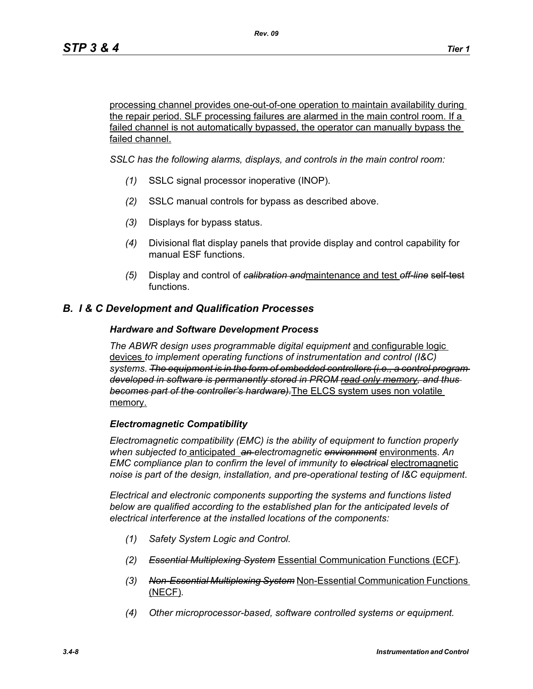processing channel provides one-out-of-one operation to maintain availability during the repair period. SLF processing failures are alarmed in the main control room. If a failed channel is not automatically bypassed, the operator can manually bypass the failed channel.

*SSLC has the following alarms, displays, and controls in the main control room:*

- *(1)* SSLC signal processor inoperative (INOP).
- *(2)* SSLC manual controls for bypass as described above.
- *(3)* Displays for bypass status.
- *(4)* Divisional flat display panels that provide display and control capability for manual ESF functions.
- *(5)* Display and control of *calibration and*maintenance and test *off-line* self-test functions.

## *B. I & C Development and Qualification Processes*

#### *Hardware and Software Development Process*

*The ABWR design uses programmable digital equipment* and configurable logic devices *to implement operating functions of instrumentation and control (I&C) systems. The equipment is in the form of embedded controllers (i.e., a control program developed in software is permanently stored in PROM read only memory, and thus becomes part of the controller's hardware).*The ELCS system uses non volatile memory.

#### *Electromagnetic Compatibility*

*Electromagnetic compatibility (EMC) is the ability of equipment to function properly when subjected to* anticipated *an electromagnetic environment* environments. *An EMC compliance plan to confirm the level of immunity to electrical* electromagnetic *noise is part of the design, installation, and pre-operational testing of I&C equipment*.

*Electrical and electronic components supporting the systems and functions listed below are qualified according to the established plan for the anticipated levels of electrical interference at the installed locations of the components:*

- *(1) Safety System Logic and Control.*
- *(2) Essential Multiplexing System* Essential Communication Functions (ECF)*.*
- *(3) Non-Essential Multiplexing System* Non-Essential Communication Functions (NECF)*.*
- *(4) Other microprocessor-based, software controlled systems or equipment.*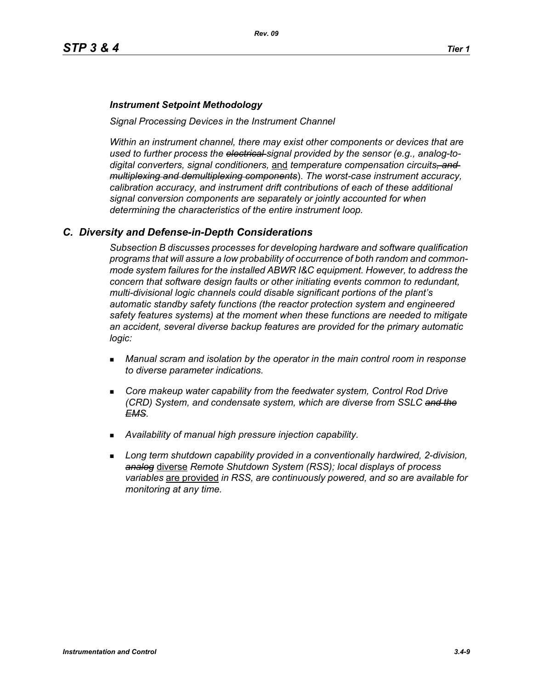#### *Instrument Setpoint Methodology*

*Signal Processing Devices in the Instrument Channel*

*Within an instrument channel, there may exist other components or devices that are used to further process the electrical signal provided by the sensor (e.g., analog-todigital converters, signal conditioners,* and *temperature compensation circuits, and multiplexing and demultiplexing components*). *The worst-case instrument accuracy, calibration accuracy, and instrument drift contributions of each of these additional signal conversion components are separately or jointly accounted for when determining the characteristics of the entire instrument loop.*

#### *C. Diversity and Defense-in-Depth Considerations*

*Subsection B discusses processes for developing hardware and software qualification programs that will assure a low probability of occurrence of both random and commonmode system failures for the installed ABWR I&C equipment. However, to address the concern that software design faults or other initiating events common to redundant, multi-divisional logic channels could disable significant portions of the plant's automatic standby safety functions (the reactor protection system and engineered safety features systems) at the moment when these functions are needed to mitigate an accident, several diverse backup features are provided for the primary automatic logic:*

- *Manual scram and isolation by the operator in the main control room in response to diverse parameter indications.*
- **Core makeup water capability from the feedwater system, Control Rod Drive** *(CRD) System, and condensate system, which are diverse from SSLC and the EMS.*
- *Availability of manual high pressure injection capability.*
- *Long term shutdown capability provided in a conventionally hardwired, 2-division, analog* diverse *Remote Shutdown System (RSS); local displays of process variables* are provided *in RSS, are continuously powered, and so are available for monitoring at any time.*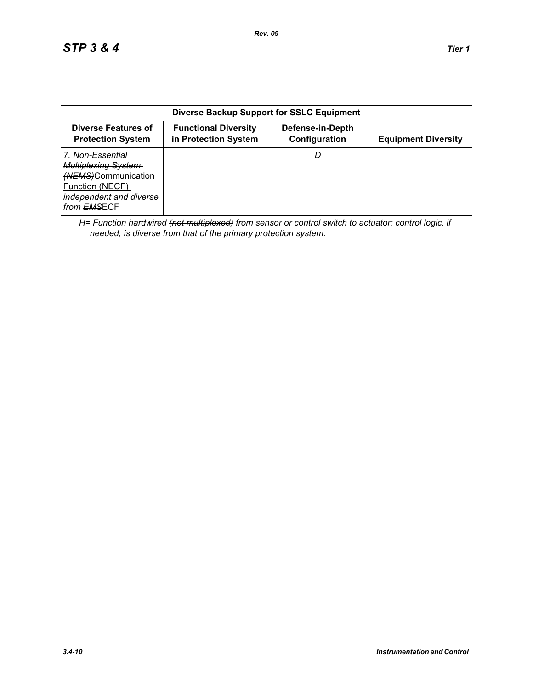| <b>Diverse Backup Support for SSLC Equipment</b>                                                                                           |                                                                                                                                                                        |                                   |                            |  |
|--------------------------------------------------------------------------------------------------------------------------------------------|------------------------------------------------------------------------------------------------------------------------------------------------------------------------|-----------------------------------|----------------------------|--|
| Diverse Features of<br><b>Protection System</b>                                                                                            | <b>Functional Diversity</b><br>in Protection System                                                                                                                    | Defense-in-Depth<br>Configuration | <b>Equipment Diversity</b> |  |
| 7. Non-Essential<br><b>Multiplexing System-</b><br>(NEMS)Communication<br>Function (NECF)<br>independent and diverse<br>from <b>EMSECF</b> |                                                                                                                                                                        | D                                 |                            |  |
|                                                                                                                                            | H= Function hardwired (not multiplexed) from sensor or control switch to actuator; control logic, if<br>needed, is diverse from that of the primary protection system. |                                   |                            |  |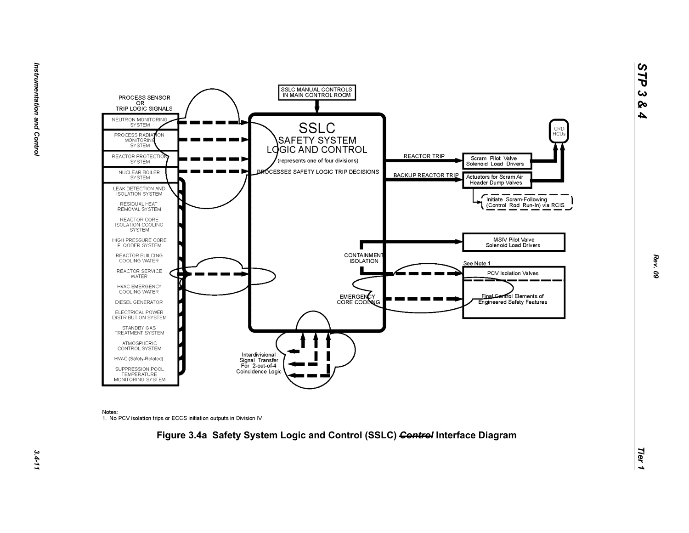



Notes:

1. No PCV isolation trips or ECCS initiation outputs in Division IV



*Rev. 09*

*STP 3 & 4*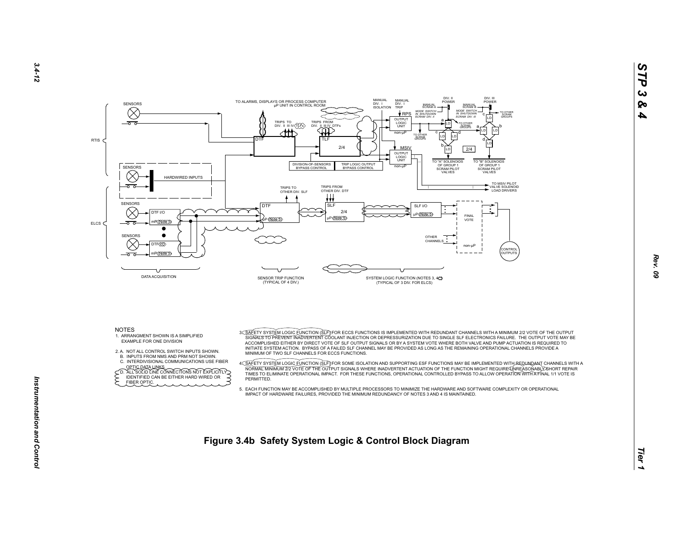



- EXAMPLE FOR ONE DIVISION
- 2. A. NOT ALL CONTROL SWITCH INPUTS SHOWN.
- B. INPUTS FROM NMS AND PRM NOT SHOWN.
- C. INTERDIVISIONAL COMMUNICATIONS USE FIBER
- OPTIC DATA LINKS.<br>
CD. ALL SOLID LINE CONNECTIONS NOT EXPLICITLY<br>
FIDENTIFIED CAN BE EITHER HARD WIRED OR FIBER OPTIC.
- ACCOMPLISHED EITHER BY DIRECT VOTE OF SLF OUTPUT SIGNALS OR BY A SYSTEM VOTE WHERE BOTH VALVE AND PUMP ACTUATION IS REQUIRED TO INITIATE SYSTEM ACTION. BYPASS OF A FAILED SLF CHANNEL MAY BE PROVIDED AS LONG AS THE REMAINING OPERATIONAL CHANNELS PROVIDE A MINIMUM OF TWO SLF CHANNELS FOR ECCS FUNCTIONS.
- A<u>C SAFETY SYSTEM LOGIC FUNCTION (SLF</u>)IFOR SOME ISOLATION AND SUPPORTING ESF FUNCTIONS MAY BE IMPLEMENTED WITH A<br>NORMALT MINIMUM 272 VOTE OF THE OUTPUT SIGNALE WHERE INADVERTENT ACTUATION OF THE FUNCTION MIGHT REQUIREASON **PERMITTED.**
- 5. EACH FUNCTION MAY BE ACCOMPLISHED BY MULTIPLE PROCESSORS TO MINIMIZE THE HARDWARE AND SOFTWARE COMPLEXITY OR OPERATIONALIMPACT OF HARDWARE FAILURES, PROVIDED THE MINIMUM REDUNDANCY OF NOTES 3 AND 4 IS MAINTAINED.
- **Figure 3.4b Safety System Logic & Control Block Diagram**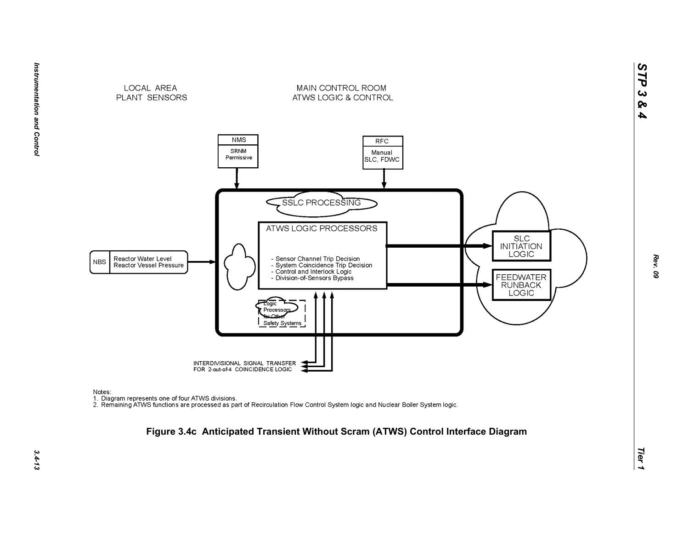

*STP 3 & 4*



MAIN CONTROL ROOM

ATWS LOGIC & CONTROL

Notes:

nction<br>1. Diagram represents one of four ATWS divisions.<br>2. Remaining ATWS functions are processed as part of Recirculation Flow Control System logic and Nuclear Boiler System logic.

# *Tier 1* **Figure 3.4c Anticipated Transient Without Scram (ATWS) Control Interface Diagram**

Instrumentation and Control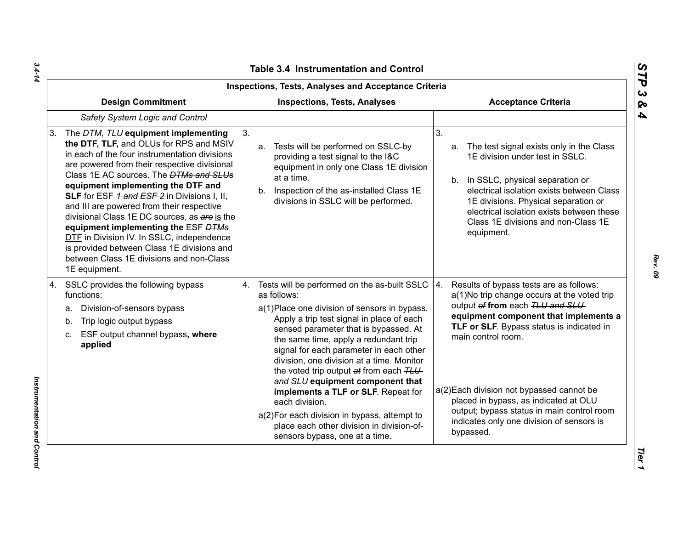| Inspections, Tests, Analyses and Acceptance Criteria                                                                                                                                                                                                                                                                                                                                                                                                                                                                                                                                                                            |                                                                                                                                                                                                                                                                                                                                                                                                                                                                                                                                                                                                              |                                                                                                                                                                                                                                                                                                                                                                                                                                           |  |  |
|---------------------------------------------------------------------------------------------------------------------------------------------------------------------------------------------------------------------------------------------------------------------------------------------------------------------------------------------------------------------------------------------------------------------------------------------------------------------------------------------------------------------------------------------------------------------------------------------------------------------------------|--------------------------------------------------------------------------------------------------------------------------------------------------------------------------------------------------------------------------------------------------------------------------------------------------------------------------------------------------------------------------------------------------------------------------------------------------------------------------------------------------------------------------------------------------------------------------------------------------------------|-------------------------------------------------------------------------------------------------------------------------------------------------------------------------------------------------------------------------------------------------------------------------------------------------------------------------------------------------------------------------------------------------------------------------------------------|--|--|
| <b>Design Commitment</b><br><b>Inspections, Tests, Analyses</b>                                                                                                                                                                                                                                                                                                                                                                                                                                                                                                                                                                 |                                                                                                                                                                                                                                                                                                                                                                                                                                                                                                                                                                                                              | <b>Acceptance Criteria</b>                                                                                                                                                                                                                                                                                                                                                                                                                |  |  |
| Safety System Logic and Control                                                                                                                                                                                                                                                                                                                                                                                                                                                                                                                                                                                                 |                                                                                                                                                                                                                                                                                                                                                                                                                                                                                                                                                                                                              |                                                                                                                                                                                                                                                                                                                                                                                                                                           |  |  |
| The <i>DTM, TLU</i> equipment implementing<br>3.<br>the DTF, TLF, and OLUs for RPS and MSIV<br>in each of the four instrumentation divisions<br>are powered from their respective divisional<br>Class 1E AC sources. The <b>DTMs and SLUs</b><br>equipment implementing the DTF and<br>SLF for ESF 1 and ESF 2 in Divisions I, II,<br>and III are powered from their respective<br>divisional Class 1E DC sources, as are is the<br>equipment implementing the ESF DTMs<br>DTF in Division IV. In SSLC, independence<br>is provided between Class 1E divisions and<br>between Class 1E divisions and non-Class<br>1E equipment. | 3 <sub>1</sub><br>Tests will be performed on SSLC-by<br>a.<br>providing a test signal to the I&C<br>equipment in only one Class 1E division<br>at a time.<br>b. Inspection of the as-installed Class 1E<br>divisions in SSLC will be performed.                                                                                                                                                                                                                                                                                                                                                              | 3 <sub>1</sub><br>The test signal exists only in the Class<br>a.<br>1E division under test in SSLC.<br>b. In SSLC, physical separation or<br>electrical isolation exists between Class<br>1E divisions. Physical separation or<br>electrical isolation exists between these<br>Class 1E divisions and non-Class 1E<br>equipment.                                                                                                          |  |  |
| SSLC provides the following bypass<br>4.<br>functions:<br>Division-of-sensors bypass<br>a.<br>Trip logic output bypass<br>b.<br>ESF output channel bypass, where<br>C.<br>applied                                                                                                                                                                                                                                                                                                                                                                                                                                               | 4. Tests will be performed on the as-built SSLC<br>as follows:<br>a(1) Place one division of sensors in bypass.<br>Apply a trip test signal in place of each<br>sensed parameter that is bypassed. At<br>the same time, apply a redundant trip<br>signal for each parameter in each other<br>division, one division at a time. Monitor<br>the voted trip output at from each TLU<br>and SLU equipment component that<br>implements a TLF or SLF. Repeat for<br>each division.<br>a(2) For each division in bypass, attempt to<br>place each other division in division-of-<br>sensors bypass, one at a time. | 4.<br>Results of bypass tests are as follows:<br>a(1)No trip change occurs at the voted trip<br>output of from each TLU and SLU<br>equipment component that implements a<br>TLF or SLF. Bypass status is indicated in<br>main control room.<br>a(2) Each division not bypassed cannot be<br>placed in bypass, as indicated at OLU<br>output; bypass status in main control room<br>indicates only one division of sensors is<br>bypassed. |  |  |

*Rev. 09*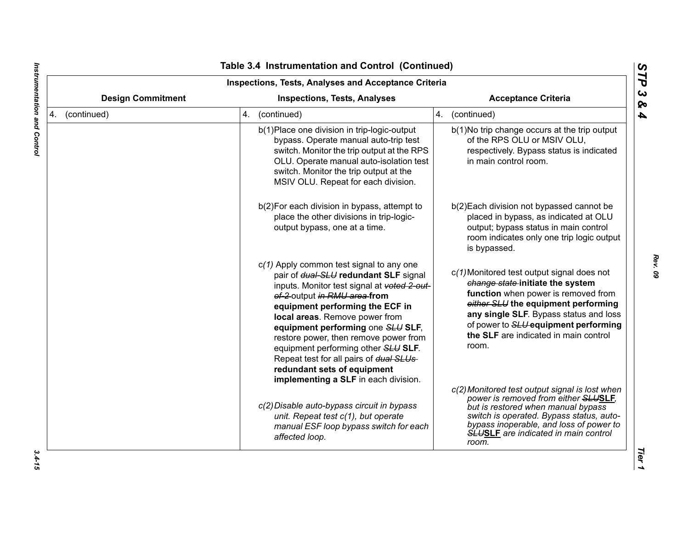| <b>Inspections, Tests, Analyses and Acceptance Criteria</b>     |                                                                                                                                                                                                                                                                                                                                                                                                                                                                                |                                                                                                                                                                                                                                                                                                  |  |
|-----------------------------------------------------------------|--------------------------------------------------------------------------------------------------------------------------------------------------------------------------------------------------------------------------------------------------------------------------------------------------------------------------------------------------------------------------------------------------------------------------------------------------------------------------------|--------------------------------------------------------------------------------------------------------------------------------------------------------------------------------------------------------------------------------------------------------------------------------------------------|--|
| <b>Design Commitment</b><br><b>Inspections, Tests, Analyses</b> |                                                                                                                                                                                                                                                                                                                                                                                                                                                                                | <b>Acceptance Criteria</b>                                                                                                                                                                                                                                                                       |  |
| 4. (continued)                                                  | 4. (continued)                                                                                                                                                                                                                                                                                                                                                                                                                                                                 | 4. (continued)                                                                                                                                                                                                                                                                                   |  |
|                                                                 | b(1) Place one division in trip-logic-output<br>bypass. Operate manual auto-trip test<br>switch. Monitor the trip output at the RPS<br>OLU. Operate manual auto-isolation test<br>switch. Monitor the trip output at the<br>MSIV OLU. Repeat for each division.                                                                                                                                                                                                                | b(1)No trip change occurs at the trip output<br>of the RPS OLU or MSIV OLU,<br>respectively. Bypass status is indicated<br>in main control room.                                                                                                                                                 |  |
|                                                                 | b(2) For each division in bypass, attempt to<br>place the other divisions in trip-logic-<br>output bypass, one at a time.                                                                                                                                                                                                                                                                                                                                                      | b(2) Each division not bypassed cannot be<br>placed in bypass, as indicated at OLU<br>output; bypass status in main control<br>room indicates only one trip logic output<br>is bypassed.                                                                                                         |  |
|                                                                 | $c(1)$ Apply common test signal to any one<br>pair of dual-SLU redundant SLF signal<br>inputs. Monitor test signal at voted 2-out-<br>of-2 output in RMU area from<br>equipment performing the ECF in<br>local areas. Remove power from<br>equipment performing one SLU SLF,<br>restore power, then remove power from<br>equipment performing other SLU SLF.<br>Repeat test for all pairs of dual SLUs-<br>redundant sets of equipment<br>implementing a SLF in each division. | c(1) Monitored test output signal does not<br>change state-initiate the system<br>function when power is removed from<br>either SLU the equipment performing<br>any single SLF. Bypass status and loss<br>of power to SLU equipment performing<br>the SLF are indicated in main control<br>room. |  |
|                                                                 | c(2) Disable auto-bypass circuit in bypass<br>unit. Repeat test c(1), but operate<br>manual ESF loop bypass switch for each<br>affected loop.                                                                                                                                                                                                                                                                                                                                  | c(2) Monitored test output signal is lost when<br>power is removed from either SLUSLF,<br>but is restored when manual bypass<br>switch is operated. Bypass status, auto-<br>bypass inoperable, and loss of power to<br><b>SLUSLE</b> are indicated in main control<br>room.                      |  |

 $\blacksquare$ 

*Rev. 09*

 $3.4 - 15$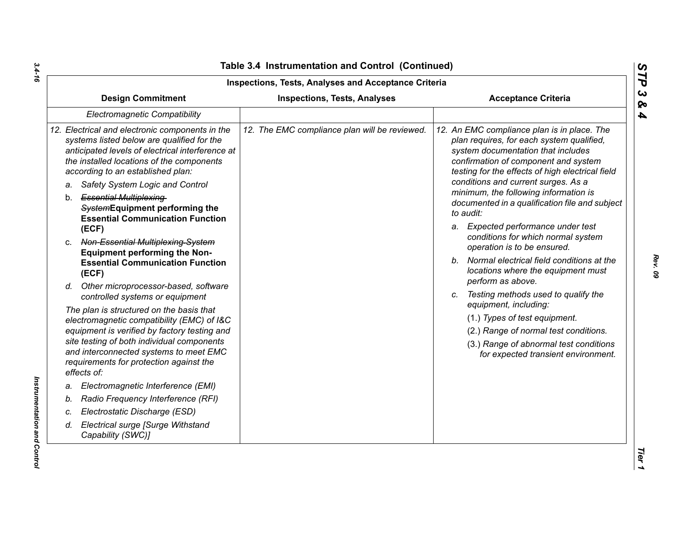| Inspections, Tests, Analyses and Acceptance Criteria                                                                                                                                                                                |                                               |                                                                                                                                                                                                                                                                   |  |  |
|-------------------------------------------------------------------------------------------------------------------------------------------------------------------------------------------------------------------------------------|-----------------------------------------------|-------------------------------------------------------------------------------------------------------------------------------------------------------------------------------------------------------------------------------------------------------------------|--|--|
| <b>Design Commitment</b>                                                                                                                                                                                                            | <b>Inspections, Tests, Analyses</b>           | <b>Acceptance Criteria</b>                                                                                                                                                                                                                                        |  |  |
| <b>Electromagnetic Compatibility</b>                                                                                                                                                                                                |                                               |                                                                                                                                                                                                                                                                   |  |  |
| 12. Electrical and electronic components in the<br>systems listed below are qualified for the<br>anticipated levels of electrical interference at<br>the installed locations of the components<br>according to an established plan: | 12. The EMC compliance plan will be reviewed. | 12. An EMC compliance plan is in place. The<br>plan requires, for each system qualified,<br>system documentation that includes<br>confirmation of component and system<br>testing for the effects of high electrical field<br>conditions and current surges. As a |  |  |
| Safety System Logic and Control<br>a.                                                                                                                                                                                               |                                               | minimum, the following information is                                                                                                                                                                                                                             |  |  |
| b. Essential Multiplexing-<br>SystemEquipment performing the<br><b>Essential Communication Function</b>                                                                                                                             |                                               | documented in a qualification file and subject<br>to audit:                                                                                                                                                                                                       |  |  |
| (ECF)                                                                                                                                                                                                                               |                                               | a. Expected performance under test                                                                                                                                                                                                                                |  |  |
| c. Non-Essential Multiplexing-System<br><b>Equipment performing the Non-</b>                                                                                                                                                        |                                               | conditions for which normal system<br>operation is to be ensured.                                                                                                                                                                                                 |  |  |
| <b>Essential Communication Function</b><br>(ECF)                                                                                                                                                                                    |                                               | b. Normal electrical field conditions at the<br>locations where the equipment must<br>perform as above.                                                                                                                                                           |  |  |
| d. Other microprocessor-based, software<br>controlled systems or equipment                                                                                                                                                          |                                               | c. Testing methods used to qualify the<br>equipment, including:                                                                                                                                                                                                   |  |  |
| The plan is structured on the basis that                                                                                                                                                                                            |                                               | (1.) Types of test equipment.                                                                                                                                                                                                                                     |  |  |
| electromagnetic compatibility (EMC) of I&C<br>equipment is verified by factory testing and                                                                                                                                          |                                               | (2.) Range of normal test conditions.                                                                                                                                                                                                                             |  |  |
| site testing of both individual components<br>and interconnected systems to meet EMC<br>requirements for protection against the<br>effects of:                                                                                      |                                               | (3.) Range of abnormal test conditions<br>for expected transient environment.                                                                                                                                                                                     |  |  |
| Electromagnetic Interference (EMI)<br>a.                                                                                                                                                                                            |                                               |                                                                                                                                                                                                                                                                   |  |  |
| Radio Frequency Interference (RFI)<br>b.                                                                                                                                                                                            |                                               |                                                                                                                                                                                                                                                                   |  |  |
| Electrostatic Discharge (ESD)<br>C.                                                                                                                                                                                                 |                                               |                                                                                                                                                                                                                                                                   |  |  |
| <b>Electrical surge [Surge Withstand</b><br>d.<br>Capability (SWC)]                                                                                                                                                                 |                                               |                                                                                                                                                                                                                                                                   |  |  |